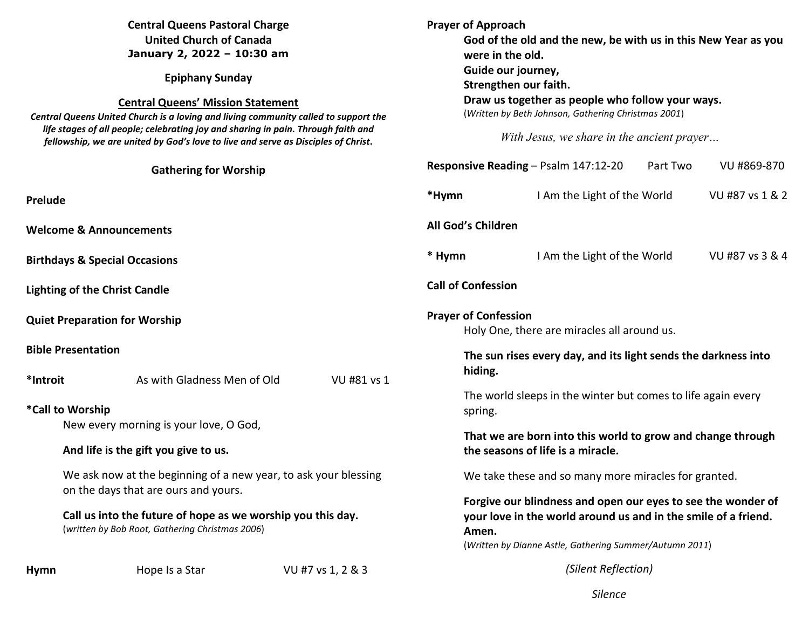| <b>Central Queens Pastoral Charge</b><br><b>United Church of Canada</b><br>January 2, 2022 - 10:30 am<br><b>Epiphany Sunday</b><br><b>Central Queens' Mission Statement</b><br>Central Queens United Church is a loving and living community called to support the<br>life stages of all people; celebrating joy and sharing in pain. Through faith and<br>fellowship, we are united by God's love to live and serve as Disciples of Christ. |                                                                                                                                                        | <b>Prayer of Approach</b><br>God of the old and the new, be with us in this New Year as you<br>were in the old.<br>Guide our journey,<br>Strengthen our faith.<br>Draw us together as people who follow your ways.<br>(Written by Beth Johnson, Gathering Christmas 2001)<br>With Jesus, we share in the ancient prayer |                                                                                                                                                                                                    |                             |          |                 |
|----------------------------------------------------------------------------------------------------------------------------------------------------------------------------------------------------------------------------------------------------------------------------------------------------------------------------------------------------------------------------------------------------------------------------------------------|--------------------------------------------------------------------------------------------------------------------------------------------------------|-------------------------------------------------------------------------------------------------------------------------------------------------------------------------------------------------------------------------------------------------------------------------------------------------------------------------|----------------------------------------------------------------------------------------------------------------------------------------------------------------------------------------------------|-----------------------------|----------|-----------------|
|                                                                                                                                                                                                                                                                                                                                                                                                                                              | <b>Gathering for Worship</b>                                                                                                                           |                                                                                                                                                                                                                                                                                                                         | Responsive Reading - Psalm 147:12-20                                                                                                                                                               |                             | Part Two | VU #869-870     |
| Prelude                                                                                                                                                                                                                                                                                                                                                                                                                                      |                                                                                                                                                        |                                                                                                                                                                                                                                                                                                                         | *Hymn                                                                                                                                                                                              | I Am the Light of the World |          | VU #87 vs 1 & 2 |
| <b>Welcome &amp; Announcements</b>                                                                                                                                                                                                                                                                                                                                                                                                           |                                                                                                                                                        |                                                                                                                                                                                                                                                                                                                         | All God's Children                                                                                                                                                                                 |                             |          |                 |
| <b>Birthdays &amp; Special Occasions</b>                                                                                                                                                                                                                                                                                                                                                                                                     |                                                                                                                                                        |                                                                                                                                                                                                                                                                                                                         | * Hymn                                                                                                                                                                                             | I Am the Light of the World |          | VU #87 vs 3 & 4 |
|                                                                                                                                                                                                                                                                                                                                                                                                                                              | <b>Lighting of the Christ Candle</b>                                                                                                                   |                                                                                                                                                                                                                                                                                                                         | <b>Call of Confession</b>                                                                                                                                                                          |                             |          |                 |
| <b>Quiet Preparation for Worship</b>                                                                                                                                                                                                                                                                                                                                                                                                         |                                                                                                                                                        |                                                                                                                                                                                                                                                                                                                         | <b>Prayer of Confession</b><br>Holy One, there are miracles all around us.                                                                                                                         |                             |          |                 |
| <b>Bible Presentation</b>                                                                                                                                                                                                                                                                                                                                                                                                                    |                                                                                                                                                        |                                                                                                                                                                                                                                                                                                                         | The sun rises every day, and its light sends the darkness into                                                                                                                                     |                             |          |                 |
| *Introit                                                                                                                                                                                                                                                                                                                                                                                                                                     | As with Gladness Men of Old                                                                                                                            | VU #81 vs 1                                                                                                                                                                                                                                                                                                             | hiding.                                                                                                                                                                                            |                             |          |                 |
| *Call to Worship                                                                                                                                                                                                                                                                                                                                                                                                                             |                                                                                                                                                        |                                                                                                                                                                                                                                                                                                                         | The world sleeps in the winter but comes to life again every<br>spring.<br>That we are born into this world to grow and change through<br>the seasons of life is a miracle.                        |                             |          |                 |
| New every morning is your love, O God,<br>And life is the gift you give to us.<br>We ask now at the beginning of a new year, to ask your blessing                                                                                                                                                                                                                                                                                            |                                                                                                                                                        |                                                                                                                                                                                                                                                                                                                         |                                                                                                                                                                                                    |                             |          |                 |
|                                                                                                                                                                                                                                                                                                                                                                                                                                              |                                                                                                                                                        | We take these and so many more miracles for granted.                                                                                                                                                                                                                                                                    |                                                                                                                                                                                                    |                             |          |                 |
|                                                                                                                                                                                                                                                                                                                                                                                                                                              | on the days that are ours and yours.<br>Call us into the future of hope as we worship you this day.<br>(written by Bob Root, Gathering Christmas 2006) |                                                                                                                                                                                                                                                                                                                         | Forgive our blindness and open our eyes to see the wonder of<br>your love in the world around us and in the smile of a friend.<br>Amen.<br>(Written by Dianne Astle, Gathering Summer/Autumn 2011) |                             |          |                 |
| <b>Hymn</b>                                                                                                                                                                                                                                                                                                                                                                                                                                  | Hope Is a Star                                                                                                                                         | VU #7 vs 1, 2 & 3                                                                                                                                                                                                                                                                                                       |                                                                                                                                                                                                    | (Silent Reflection)         |          |                 |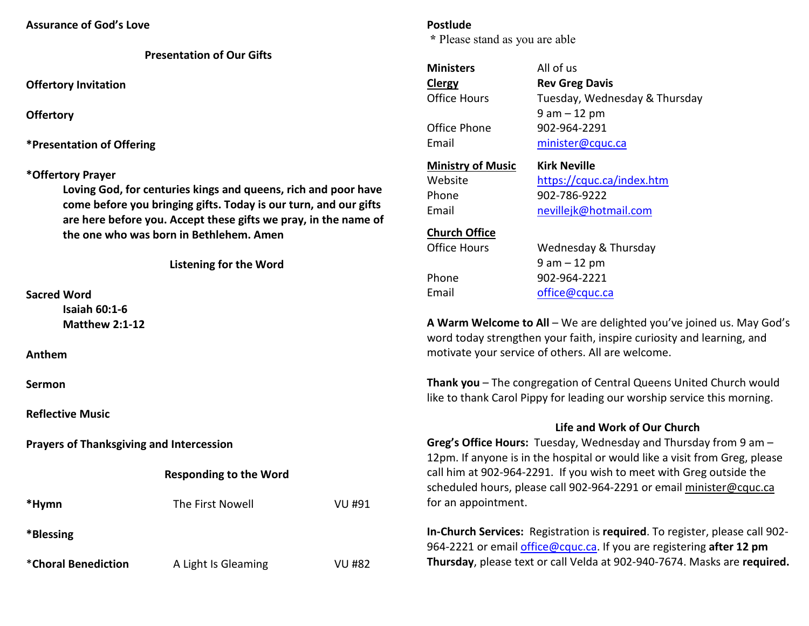| <b>Presentation of Our Gifts</b> |  |  |
|----------------------------------|--|--|
|----------------------------------|--|--|

**Offertory Invitation** 

**Offertory**

**\*Presentation of Offering** 

#### **\*Offertory Prayer**

**Loving God, for centuries kings and queens, rich and poor have come before you bringing gifts. Today is our turn, and our gifts are here before you. Accept these gifts we pray, in the name of the one who was born in Bethlehem. Amen** 

|  |  | <b>Listening for the Word</b> |
|--|--|-------------------------------|
|  |  |                               |

#### **Sacred Word**

 **Isaiah 60:1-6 Matthew 2:1-12** 

**Anthem** 

**Sermon**

**Reflective Music** 

**Prayers of Thanksgiving and Intercession**

# **Responding to the Word**

| *Hymn                       | The First Nowell    | VU #91 |
|-----------------------------|---------------------|--------|
| *Blessing                   |                     |        |
| <i>*</i> Choral Benediction | A Light Is Gleaming | VU #82 |

### **Postlude**

 **\*** Please stand as you are able

| <b>Ministers</b>         | All of us                     |
|--------------------------|-------------------------------|
| <b>Clergy</b>            | <b>Rev Greg Davis</b>         |
| Office Hours             | Tuesday, Wednesday & Thursday |
|                          | $9$ am $-12$ pm               |
| Office Phone             | 902-964-2291                  |
| Email                    | minister@cquc.ca              |
| <b>Ministry of Music</b> | Kirk Neville                  |
| Website                  | https://cquc.ca/index.htm     |
| Phone                    | 902-786-9222                  |
| Email                    | nevillejk@hotmail.com         |
| <b>Church Office</b>     |                               |
| Office Hours             | Wednesday & Thursday          |
|                          | $9$ am $-12$ pm               |
| Phone                    | 902-964-2221                  |
| Email                    | office@cquc.ca                |
|                          |                               |

**A Warm Welcome to All** – We are delighted you've joined us. May God's word today strengthen your faith, inspire curiosity and learning, and motivate your service of others. All are welcome.

**Thank you** – The congregation of Central Queens United Church would like to thank Carol Pippy for leading our worship service this morning.

## **Life and Work of Our Church**

**Greg's Office Hours:** Tuesday, Wednesday and Thursday from 9 am – 12pm. If anyone is in the hospital or would like a visit from Greg, please call him at 902-964-2291. If you wish to meet with Greg outside the scheduled hours, please call 902-964-2291 or email minister@cquc.ca for an appointment.

**In-Church Services:** Registration is **required**. To register, please call 902- 964-2221 or email office@cquc.ca. If you are registering **after 12 pmThursday**, please text or call Velda at 902-940-7674. Masks are **required.**